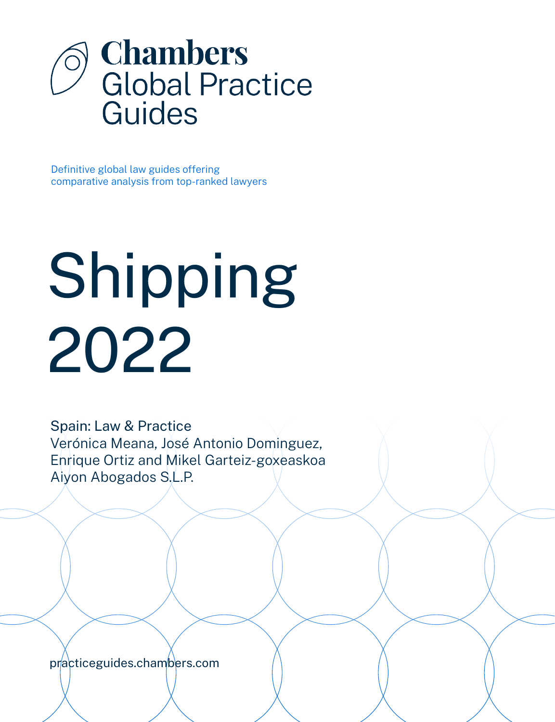

Definitive global law guides offering comparative analysis from top-ranked lawyers

# Shipping 2022

Spain: Law & Practice Verónica Meana, José Antonio Dominguez, Enrique Ortiz and Mikel Garteiz-goxeaskoa Aiyon Abogados S.L.P.

[practiceguides.chambers.com](http://practiceguides.chambers.com)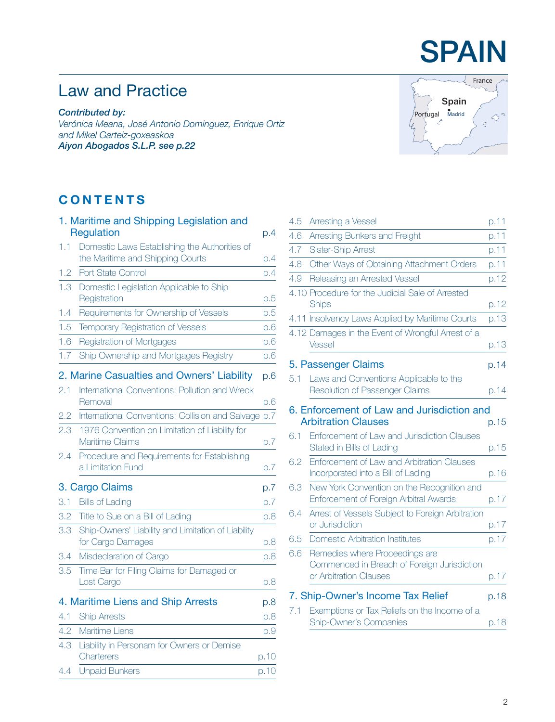## **SPAIN**

France

 $\textcircled{3}^{\circ}$  $\mathcal{Q}$ 

Portugal Madrid

**Spain**

## Law and Practice

*Contributed by: Verónica Meana, José Antonio Dominguez, Enrique Ortiz and Mikel Garteiz-goxeaskoa Aiyon Abogados S.L.P. [see p.22](#page-21-0)*

## **CONTENTS**

|     | 1. Maritime and Shipping Legislation and                                |      |
|-----|-------------------------------------------------------------------------|------|
|     | Regulation                                                              | p.4  |
| 1.1 | Domestic Laws Establishing the Authorities of                           |      |
|     | the Maritime and Shipping Courts                                        | p.4  |
| 1.2 | Port State Control                                                      | p.4  |
| 1.3 | Domestic Legislation Applicable to Ship<br>Registration                 | p.5  |
| 1.4 | Requirements for Ownership of Vessels                                   | p.5  |
| 1.5 | Temporary Registration of Vessels                                       | p.6  |
| 1.6 | Registration of Mortgages                                               | D.6  |
| 1.7 | Ship Ownership and Mortgages Registry                                   | p.6  |
|     | 2. Marine Casualties and Owners' Liability                              | p.6  |
| 2.1 | International Conventions: Pollution and Wreck<br>Removal               | p.6  |
| 2.2 | International Conventions: Collision and Salvage p.7                    |      |
| 2.3 | 1976 Convention on Limitation of Liability for<br>Maritime Claims       | p.7  |
| 2.4 | Procedure and Requirements for Establishing<br>a Limitation Fund        | p.7  |
|     | 3. Cargo Claims                                                         | p.7  |
| 3.1 | <b>Bills of Lading</b>                                                  | D.7  |
| 3.2 | Title to Sue on a Bill of Lading                                        | p.8  |
| 3.3 | Ship-Owners' Liability and Limitation of Liability<br>for Cargo Damages | p.8  |
| 3.4 | Misdeclaration of Cargo                                                 | p.8  |
| 3.5 | Time Bar for Filing Claims for Damaged or<br>Lost Cargo                 | p.8  |
|     | 4. Maritime Liens and Ship Arrests                                      | p.8  |
| 4.1 | <b>Ship Arrests</b>                                                     | p.8  |
| 4.2 | Maritime Liens                                                          | p.9  |
| 4.3 | Liability in Personam for Owners or Demise                              |      |
|     | Charterers                                                              | p.10 |
| 4.4 | <b>Unpaid Bunkers</b>                                                   | p.10 |

| 4.5 | Arresting a Vessel                                                                                                      | p.11 |
|-----|-------------------------------------------------------------------------------------------------------------------------|------|
| 4.6 | Arresting Bunkers and Freight                                                                                           | p.11 |
| 4.7 | <b>Sister-Ship Arrest</b>                                                                                               | p.11 |
| 4.8 | Other Ways of Obtaining Attachment Orders                                                                               | p.11 |
| 4.9 | Releasing an Arrested Vessel                                                                                            | p.12 |
|     | 4.10 Procedure for the Judicial Sale of Arrested<br><b>Ships</b>                                                        | p.12 |
|     | 4.11 Insolvency Laws Applied by Maritime Courts                                                                         | p.13 |
|     | 4.12 Damages in the Event of Wrongful Arrest of a<br>Vessel                                                             | p.13 |
|     | 5. Passenger Claims                                                                                                     | p.14 |
| 5.1 | Laws and Conventions Applicable to the<br><b>Resolution of Passenger Claims</b>                                         | p.14 |
| 6.1 | 6. Enforcement of Law and Jurisdiction and<br><b>Arbitration Clauses</b><br>Enforcement of Law and Jurisdiction Clauses | p.15 |
|     | Stated in Bills of Lading                                                                                               | p.15 |
| 6.2 | Enforcement of Law and Arbitration Clauses<br>Incorporated into a Bill of Lading                                        | p.16 |
| 6.3 | New York Convention on the Recognition and<br>Enforcement of Foreign Arbitral Awards                                    | p.17 |
| 6.4 | Arrest of Vessels Subject to Foreign Arbitration<br>or Jurisdiction                                                     | p.17 |
| 6.5 | <b>Domestic Arbitration Institutes</b>                                                                                  | p.17 |
| 6.6 | Remedies where Proceedings are<br>Commenced in Breach of Foreign Jurisdiction<br>or Arbitration Clauses                 | p.17 |
|     | 7. Ship-Owner's Income Tax Relief                                                                                       | p.18 |
| 7.1 | Exemptions or Tax Reliefs on the Income of a<br><b>Ship-Owner's Companies</b>                                           | p.18 |
|     |                                                                                                                         |      |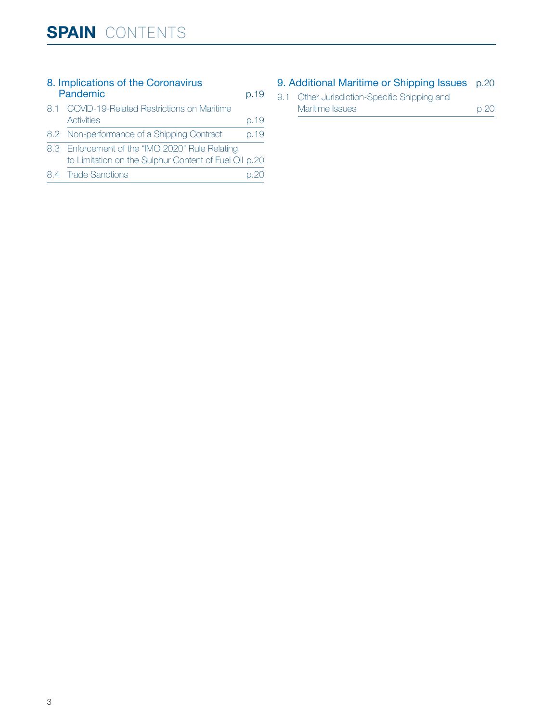| 8. Implications of the Coronavirus<br>Pandemic |                                                       |      |
|------------------------------------------------|-------------------------------------------------------|------|
|                                                | 8.1 COVID-19-Related Restrictions on Maritime         |      |
|                                                | Activities                                            | p.19 |
|                                                | 8.2 Non-performance of a Shipping Contract            | p.19 |
|                                                | 8.3 Enforcement of the "IMO 2020" Rule Relating       |      |
|                                                | to Limitation on the Sulphur Content of Fuel Oil p.20 |      |
|                                                | 8.4 Trade Sanctions                                   |      |

#### [9. Additional Maritime or Shipping Issues](#page-19-0) p.20

| 9.1 Other Jurisdiction-Specific Shipping and |      |
|----------------------------------------------|------|
| Maritime Issues                              | p.20 |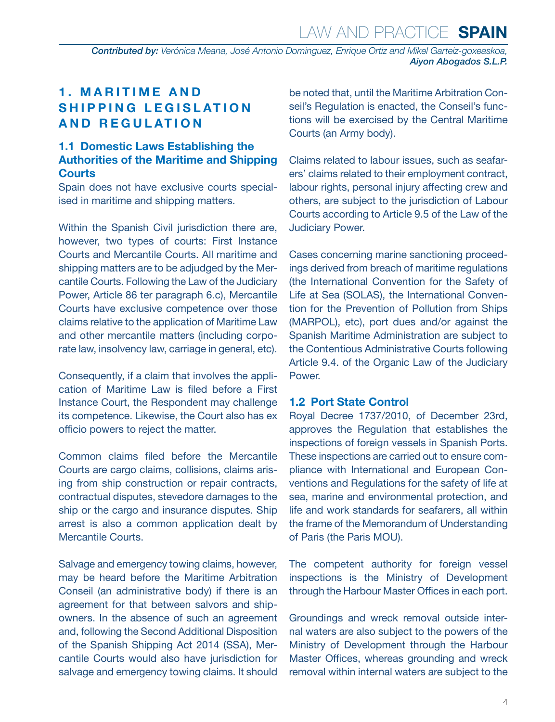<span id="page-3-0"></span>*Contributed by: Verónica Meana, José Antonio Dominguez, Enrique Ortiz and Mikel Garteiz-goxeaskoa, Aiyon Abogados S.L.P.* 

#### **1. MARITIME AND SHIPPING LEGISLATION AND REGULATION**

#### **1.1 Domestic Laws Establishing the Authorities of the Maritime and Shipping Courts**

Spain does not have exclusive courts specialised in maritime and shipping matters.

Within the Spanish Civil jurisdiction there are, however, two types of courts: First Instance Courts and Mercantile Courts. All maritime and shipping matters are to be adjudged by the Mercantile Courts. Following the Law of the Judiciary Power, Article 86 ter paragraph 6.c), Mercantile Courts have exclusive competence over those claims relative to the application of Maritime Law and other mercantile matters (including corporate law, insolvency law, carriage in general, etc).

Consequently, if a claim that involves the application of Maritime Law is filed before a First Instance Court, the Respondent may challenge its competence. Likewise, the Court also has ex officio powers to reject the matter.

Common claims filed before the Mercantile Courts are cargo claims, collisions, claims arising from ship construction or repair contracts, contractual disputes, stevedore damages to the ship or the cargo and insurance disputes. Ship arrest is also a common application dealt by Mercantile Courts.

Salvage and emergency towing claims, however, may be heard before the Maritime Arbitration Conseil (an administrative body) if there is an agreement for that between salvors and shipowners. In the absence of such an agreement and, following the Second Additional Disposition of the Spanish Shipping Act 2014 (SSA), Mercantile Courts would also have jurisdiction for salvage and emergency towing claims. It should be noted that, until the Maritime Arbitration Conseil's Regulation is enacted, the Conseil's functions will be exercised by the Central Maritime Courts (an Army body).

Claims related to labour issues, such as seafarers' claims related to their employment contract, labour rights, personal injury affecting crew and others, are subject to the jurisdiction of Labour Courts according to Article 9.5 of the Law of the Judiciary Power.

Cases concerning marine sanctioning proceedings derived from breach of maritime regulations (the International Convention for the Safety of Life at Sea (SOLAS), the International Convention for the Prevention of Pollution from Ships (MARPOL), etc), port dues and/or against the Spanish Maritime Administration are subject to the Contentious Administrative Courts following Article 9.4. of the Organic Law of the Judiciary Power.

#### **1.2 Port State Control**

Royal Decree 1737/2010, of December 23rd, approves the Regulation that establishes the inspections of foreign vessels in Spanish Ports. These inspections are carried out to ensure compliance with International and European Conventions and Regulations for the safety of life at sea, marine and environmental protection, and life and work standards for seafarers, all within the frame of the Memorandum of Understanding of Paris (the Paris MOU).

The competent authority for foreign vessel inspections is the Ministry of Development through the Harbour Master Offices in each port.

Groundings and wreck removal outside internal waters are also subject to the powers of the Ministry of Development through the Harbour Master Offices, whereas grounding and wreck removal within internal waters are subject to the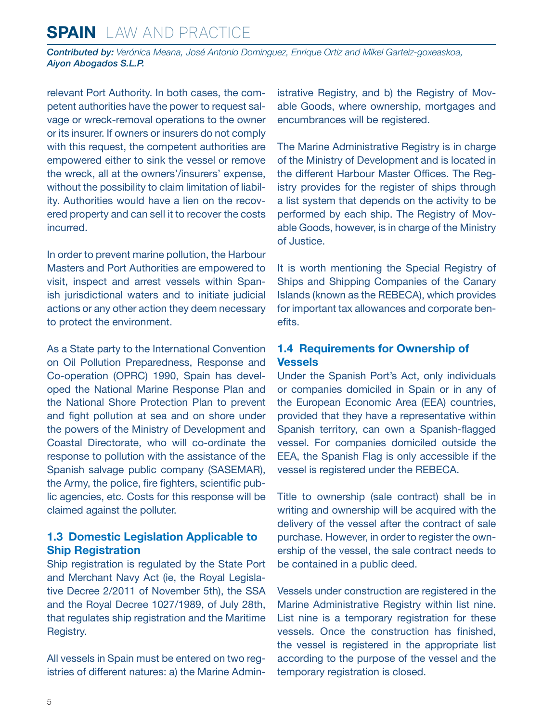<span id="page-4-0"></span>*Contributed by: Verónica Meana, José Antonio Dominguez, Enrique Ortiz and Mikel Garteiz-goxeaskoa, Aiyon Abogados S.L.P.* 

relevant Port Authority. In both cases, the competent authorities have the power to request salvage or wreck-removal operations to the owner or its insurer. If owners or insurers do not comply with this request, the competent authorities are empowered either to sink the vessel or remove the wreck, all at the owners'/insurers' expense, without the possibility to claim limitation of liability. Authorities would have a lien on the recovered property and can sell it to recover the costs incurred.

In order to prevent marine pollution, the Harbour Masters and Port Authorities are empowered to visit, inspect and arrest vessels within Spanish jurisdictional waters and to initiate judicial actions or any other action they deem necessary to protect the environment.

As a State party to the International Convention on Oil Pollution Preparedness, Response and Co-operation (OPRC) 1990, Spain has developed the National Marine Response Plan and the National Shore Protection Plan to prevent and fight pollution at sea and on shore under the powers of the Ministry of Development and Coastal Directorate, who will co-ordinate the response to pollution with the assistance of the Spanish salvage public company (SASEMAR), the Army, the police, fire fighters, scientific public agencies, etc. Costs for this response will be claimed against the polluter.

#### **1.3 Domestic Legislation Applicable to Ship Registration**

Ship registration is regulated by the State Port and Merchant Navy Act (ie, the Royal Legislative Decree 2/2011 of November 5th), the SSA and the Royal Decree 1027/1989, of July 28th, that regulates ship registration and the Maritime Registry.

All vessels in Spain must be entered on two registries of different natures: a) the Marine Administrative Registry, and b) the Registry of Movable Goods, where ownership, mortgages and encumbrances will be registered.

The Marine Administrative Registry is in charge of the Ministry of Development and is located in the different Harbour Master Offices. The Registry provides for the register of ships through a list system that depends on the activity to be performed by each ship. The Registry of Movable Goods, however, is in charge of the Ministry of Justice.

It is worth mentioning the Special Registry of Ships and Shipping Companies of the Canary Islands (known as the REBECA), which provides for important tax allowances and corporate benefits.

#### **1.4 Requirements for Ownership of Vessels**

Under the Spanish Port's Act, only individuals or companies domiciled in Spain or in any of the European Economic Area (EEA) countries, provided that they have a representative within Spanish territory, can own a Spanish-flagged vessel. For companies domiciled outside the EEA, the Spanish Flag is only accessible if the vessel is registered under the REBECA.

Title to ownership (sale contract) shall be in writing and ownership will be acquired with the delivery of the vessel after the contract of sale purchase. However, in order to register the ownership of the vessel, the sale contract needs to be contained in a public deed.

Vessels under construction are registered in the Marine Administrative Registry within list nine. List nine is a temporary registration for these vessels. Once the construction has finished, the vessel is registered in the appropriate list according to the purpose of the vessel and the temporary registration is closed.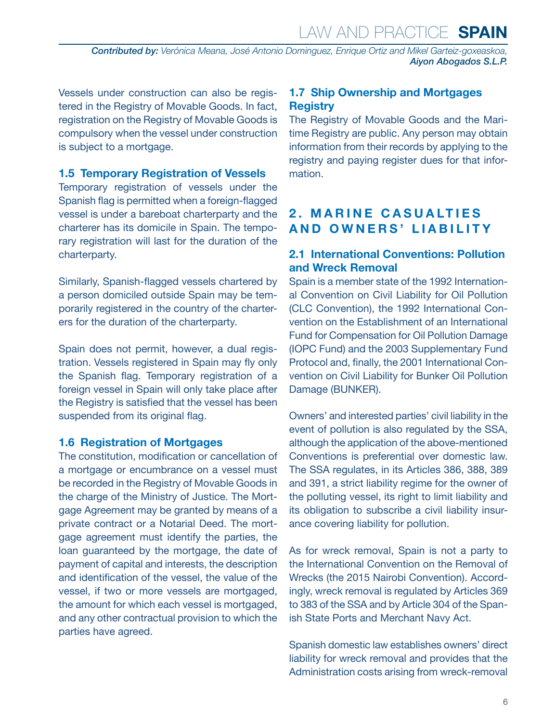<span id="page-5-0"></span>*Contributed by: Verónica Meana, José Antonio Dominguez, Enrique Ortiz and Mikel Garteiz-goxeaskoa, Aiyon Abogados S.L.P.* 

Vessels under construction can also be registered in the Registry of Movable Goods. In fact, registration on the Registry of Movable Goods is compulsory when the vessel under construction is subject to a mortgage.

#### **1.5 Temporary Registration of Vessels**

Temporary registration of vessels under the Spanish flag is permitted when a foreign-flagged vessel is under a bareboat charterparty and the charterer has its domicile in Spain. The temporary registration will last for the duration of the charterparty.

Similarly, Spanish-flagged vessels chartered by a person domiciled outside Spain may be temporarily registered in the country of the charterers for the duration of the charterparty.

Spain does not permit, however, a dual registration. Vessels registered in Spain may fly only the Spanish flag. Temporary registration of a foreign vessel in Spain will only take place after the Registry is satisfied that the vessel has been suspended from its original flag.

#### **1.6 Registration of Mortgages**

The constitution, modification or cancellation of a mortgage or encumbrance on a vessel must be recorded in the Registry of Movable Goods in the charge of the Ministry of Justice. The Mortgage Agreement may be granted by means of a private contract or a Notarial Deed. The mortgage agreement must identify the parties, the loan guaranteed by the mortgage, the date of payment of capital and interests, the description and identification of the vessel, the value of the vessel, if two or more vessels are mortgaged, the amount for which each vessel is mortgaged, and any other contractual provision to which the parties have agreed.

#### **1.7 Ship Ownership and Mortgages Registry**

The Registry of Movable Goods and the Maritime Registry are public. Any person may obtain information from their records by applying to the registry and paying register dues for that information.

#### **2. MARINE CASUALTIES AND OWNERS' LIABILITY**

#### **2.1 International Conventions: Pollution and Wreck Removal**

Spain is a member state of the 1992 International Convention on Civil Liability for Oil Pollution (CLC Convention), the 1992 International Convention on the Establishment of an International Fund for Compensation for Oil Pollution Damage (IOPC Fund) and the 2003 Supplementary Fund Protocol and, finally, the 2001 International Convention on Civil Liability for Bunker Oil Pollution Damage (BUNKER).

Owners' and interested parties' civil liability in the event of pollution is also regulated by the SSA, although the application of the above-mentioned Conventions is preferential over domestic law. The SSA regulates, in its Articles 386, 388, 389 and 391, a strict liability regime for the owner of the polluting vessel, its right to limit liability and its obligation to subscribe a civil liability insurance covering liability for pollution.

As for wreck removal, Spain is not a party to the International Convention on the Removal of Wrecks (the 2015 Nairobi Convention). Accordingly, wreck removal is regulated by Articles 369 to 383 of the SSA and by Article 304 of the Spanish State Ports and Merchant Navy Act.

Spanish domestic law establishes owners' direct liability for wreck removal and provides that the Administration costs arising from wreck-removal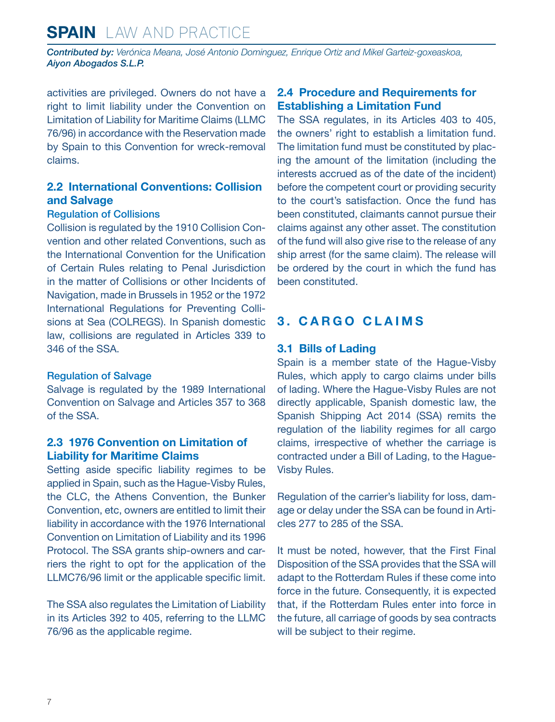<span id="page-6-0"></span>*Contributed by: Verónica Meana, José Antonio Dominguez, Enrique Ortiz and Mikel Garteiz-goxeaskoa, Aiyon Abogados S.L.P.* 

activities are privileged. Owners do not have a right to limit liability under the Convention on Limitation of Liability for Maritime Claims (LLMC 76/96) in accordance with the Reservation made by Spain to this Convention for wreck-removal claims.

#### **2.2 International Conventions: Collision and Salvage**

#### Regulation of Collisions

Collision is regulated by the 1910 Collision Convention and other related Conventions, such as the International Convention for the Unification of Certain Rules relating to Penal Jurisdiction in the matter of Collisions or other Incidents of Navigation, made in Brussels in 1952 or the 1972 International Regulations for Preventing Collisions at Sea (COLREGS). In Spanish domestic law, collisions are regulated in Articles 339 to 346 of the SSA.

#### Regulation of Salvage

Salvage is regulated by the 1989 International Convention on Salvage and Articles 357 to 368 of the SSA.

#### **2.3 1976 Convention on Limitation of Liability for Maritime Claims**

Setting aside specific liability regimes to be applied in Spain, such as the Hague-Visby Rules, the CLC, the Athens Convention, the Bunker Convention, etc, owners are entitled to limit their liability in accordance with the 1976 International Convention on Limitation of Liability and its 1996 Protocol. The SSA grants ship-owners and carriers the right to opt for the application of the LLMC76/96 limit or the applicable specific limit.

The SSA also regulates the Limitation of Liability in its Articles 392 to 405, referring to the LLMC 76/96 as the applicable regime.

#### **2.4 Procedure and Requirements for Establishing a Limitation Fund**

The SSA regulates, in its Articles 403 to 405, the owners' right to establish a limitation fund. The limitation fund must be constituted by placing the amount of the limitation (including the interests accrued as of the date of the incident) before the competent court or providing security to the court's satisfaction. Once the fund has been constituted, claimants cannot pursue their claims against any other asset. The constitution of the fund will also give rise to the release of any ship arrest (for the same claim). The release will be ordered by the court in which the fund has been constituted.

#### **3. CARGO CLAIMS**

#### **3.1 Bills of Lading**

Spain is a member state of the Hague-Visby Rules, which apply to cargo claims under bills of lading. Where the Hague-Visby Rules are not directly applicable, Spanish domestic law, the Spanish Shipping Act 2014 (SSA) remits the regulation of the liability regimes for all cargo claims, irrespective of whether the carriage is contracted under a Bill of Lading, to the Hague-Visby Rules.

Regulation of the carrier's liability for loss, damage or delay under the SSA can be found in Articles 277 to 285 of the SSA.

It must be noted, however, that the First Final Disposition of the SSA provides that the SSA will adapt to the Rotterdam Rules if these come into force in the future. Consequently, it is expected that, if the Rotterdam Rules enter into force in the future, all carriage of goods by sea contracts will be subject to their regime.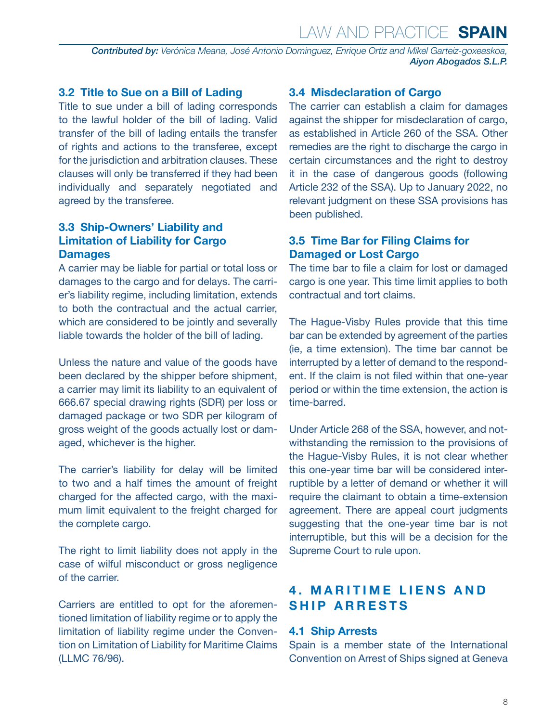<span id="page-7-0"></span>*Contributed by: Verónica Meana, José Antonio Dominguez, Enrique Ortiz and Mikel Garteiz-goxeaskoa, Aiyon Abogados S.L.P.* 

#### **3.2 Title to Sue on a Bill of Lading**

Title to sue under a bill of lading corresponds to the lawful holder of the bill of lading. Valid transfer of the bill of lading entails the transfer of rights and actions to the transferee, except for the jurisdiction and arbitration clauses. These clauses will only be transferred if they had been individually and separately negotiated and agreed by the transferee.

#### **3.3 Ship-Owners' Liability and Limitation of Liability for Cargo Damages**

A carrier may be liable for partial or total loss or damages to the cargo and for delays. The carrier's liability regime, including limitation, extends to both the contractual and the actual carrier, which are considered to be jointly and severally liable towards the holder of the bill of lading.

Unless the nature and value of the goods have been declared by the shipper before shipment, a carrier may limit its liability to an equivalent of 666.67 special drawing rights (SDR) per loss or damaged package or two SDR per kilogram of gross weight of the goods actually lost or damaged, whichever is the higher.

The carrier's liability for delay will be limited to two and a half times the amount of freight charged for the affected cargo, with the maximum limit equivalent to the freight charged for the complete cargo.

The right to limit liability does not apply in the case of wilful misconduct or gross negligence of the carrier.

Carriers are entitled to opt for the aforementioned limitation of liability regime or to apply the limitation of liability regime under the Convention on Limitation of Liability for Maritime Claims (LLMC 76/96).

#### **3.4 Misdeclaration of Cargo**

The carrier can establish a claim for damages against the shipper for misdeclaration of cargo, as established in Article 260 of the SSA. Other remedies are the right to discharge the cargo in certain circumstances and the right to destroy it in the case of dangerous goods (following Article 232 of the SSA). Up to January 2022, no relevant judgment on these SSA provisions has been published.

#### **3.5 Time Bar for Filing Claims for Damaged or Lost Cargo**

The time bar to file a claim for lost or damaged cargo is one year. This time limit applies to both contractual and tort claims.

The Hague-Visby Rules provide that this time bar can be extended by agreement of the parties (ie, a time extension). The time bar cannot be interrupted by a letter of demand to the respondent. If the claim is not filed within that one-year period or within the time extension, the action is time-barred.

Under Article 268 of the SSA, however, and notwithstanding the remission to the provisions of the Hague-Visby Rules, it is not clear whether this one-year time bar will be considered interruptible by a letter of demand or whether it will require the claimant to obtain a time-extension agreement. There are appeal court judgments suggesting that the one-year time bar is not interruptible, but this will be a decision for the Supreme Court to rule upon.

#### **4. MARITIME LIENS AND SHIP ARRESTS**

#### **4.1 Ship Arrests**

Spain is a member state of the International Convention on Arrest of Ships signed at Geneva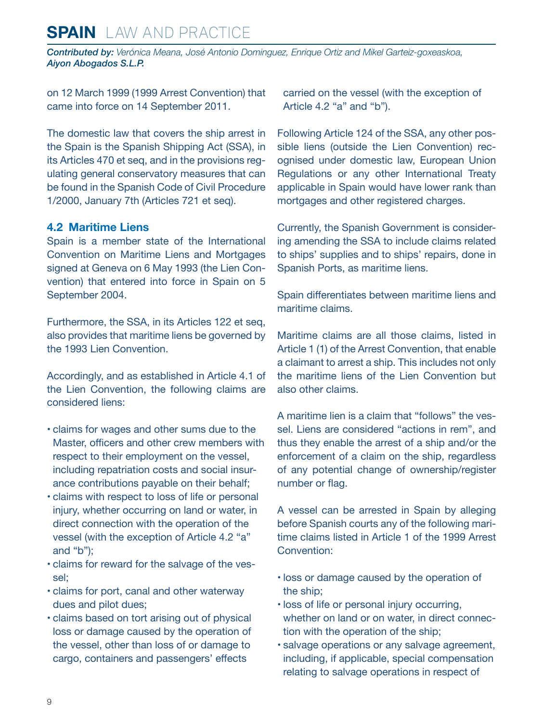<span id="page-8-0"></span>*Contributed by: Verónica Meana, José Antonio Dominguez, Enrique Ortiz and Mikel Garteiz-goxeaskoa, Aiyon Abogados S.L.P.* 

on 12 March 1999 (1999 Arrest Convention) that came into force on 14 September 2011.

The domestic law that covers the ship arrest in the Spain is the Spanish Shipping Act (SSA), in its Articles 470 et seq, and in the provisions regulating general conservatory measures that can be found in the Spanish Code of Civil Procedure 1/2000, January 7th (Articles 721 et seq).

#### **4.2 Maritime Liens**

Spain is a member state of the International Convention on Maritime Liens and Mortgages signed at Geneva on 6 May 1993 (the Lien Convention) that entered into force in Spain on 5 September 2004.

Furthermore, the SSA, in its Articles 122 et seq, also provides that maritime liens be governed by the 1993 Lien Convention.

Accordingly, and as established in Article 4.1 of the Lien Convention, the following claims are considered liens:

- claims for wages and other sums due to the Master, officers and other crew members with respect to their employment on the vessel, including repatriation costs and social insurance contributions payable on their behalf;
- claims with respect to loss of life or personal injury, whether occurring on land or water, in direct connection with the operation of the vessel (with the exception of Article 4.2 "a" and "b");
- claims for reward for the salvage of the vessel;
- claims for port, canal and other waterway dues and pilot dues;
- claims based on tort arising out of physical loss or damage caused by the operation of the vessel, other than loss of or damage to cargo, containers and passengers' effects

carried on the vessel (with the exception of Article 4.2 "a" and "b").

Following Article 124 of the SSA, any other possible liens (outside the Lien Convention) recognised under domestic law, European Union Regulations or any other International Treaty applicable in Spain would have lower rank than mortgages and other registered charges.

Currently, the Spanish Government is considering amending the SSA to include claims related to ships' supplies and to ships' repairs, done in Spanish Ports, as maritime liens.

Spain differentiates between maritime liens and maritime claims.

Maritime claims are all those claims, listed in Article 1 (1) of the Arrest Convention, that enable a claimant to arrest a ship. This includes not only the maritime liens of the Lien Convention but also other claims.

A maritime lien is a claim that "follows" the vessel. Liens are considered "actions in rem", and thus they enable the arrest of a ship and/or the enforcement of a claim on the ship, regardless of any potential change of ownership/register number or flag.

A vessel can be arrested in Spain by alleging before Spanish courts any of the following maritime claims listed in Article 1 of the 1999 Arrest Convention:

- loss or damage caused by the operation of the ship;
- loss of life or personal injury occurring, whether on land or on water, in direct connection with the operation of the ship;
- salvage operations or any salvage agreement, including, if applicable, special compensation relating to salvage operations in respect of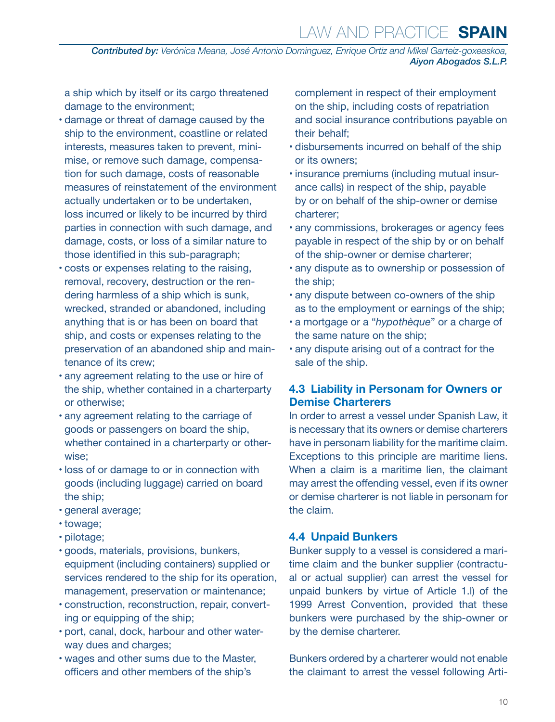<span id="page-9-0"></span>*Contributed by: Verónica Meana, José Antonio Dominguez, Enrique Ortiz and Mikel Garteiz-goxeaskoa, Aiyon Abogados S.L.P.* 

a ship which by itself or its cargo threatened damage to the environment;

- damage or threat of damage caused by the ship to the environment, coastline or related interests, measures taken to prevent, minimise, or remove such damage, compensation for such damage, costs of reasonable measures of reinstatement of the environment actually undertaken or to be undertaken, loss incurred or likely to be incurred by third parties in connection with such damage, and damage, costs, or loss of a similar nature to those identified in this sub-paragraph;
- costs or expenses relating to the raising, removal, recovery, destruction or the rendering harmless of a ship which is sunk, wrecked, stranded or abandoned, including anything that is or has been on board that ship, and costs or expenses relating to the preservation of an abandoned ship and maintenance of its crew;
- any agreement relating to the use or hire of the ship, whether contained in a charterparty or otherwise;
- any agreement relating to the carriage of goods or passengers on board the ship, whether contained in a charterparty or otherwise;
- loss of or damage to or in connection with goods (including luggage) carried on board the ship;
- general average;
- towage;
- pilotage;
- goods, materials, provisions, bunkers, equipment (including containers) supplied or services rendered to the ship for its operation, management, preservation or maintenance;
- construction, reconstruction, repair, converting or equipping of the ship;
- port, canal, dock, harbour and other waterway dues and charges;
- wages and other sums due to the Master, officers and other members of the ship's

complement in respect of their employment on the ship, including costs of repatriation and social insurance contributions payable on their behalf;

- disbursements incurred on behalf of the ship or its owners;
- insurance premiums (including mutual insurance calls) in respect of the ship, payable by or on behalf of the ship-owner or demise charterer;
- any commissions, brokerages or agency fees payable in respect of the ship by or on behalf of the ship-owner or demise charterer;
- any dispute as to ownership or possession of the ship;
- any dispute between co-owners of the ship as to the employment or earnings of the ship;
- a mortgage or a "*hypothèque*" or a charge of the same nature on the ship;
- any dispute arising out of a contract for the sale of the ship.

#### **4.3 Liability in Personam for Owners or Demise Charterers**

In order to arrest a vessel under Spanish Law, it is necessary that its owners or demise charterers have in personam liability for the maritime claim. Exceptions to this principle are maritime liens. When a claim is a maritime lien, the claimant may arrest the offending vessel, even if its owner or demise charterer is not liable in personam for the claim.

#### **4.4 Unpaid Bunkers**

Bunker supply to a vessel is considered a maritime claim and the bunker supplier (contractual or actual supplier) can arrest the vessel for unpaid bunkers by virtue of Article 1.l) of the 1999 Arrest Convention, provided that these bunkers were purchased by the ship-owner or by the demise charterer.

Bunkers ordered by a charterer would not enable the claimant to arrest the vessel following Arti-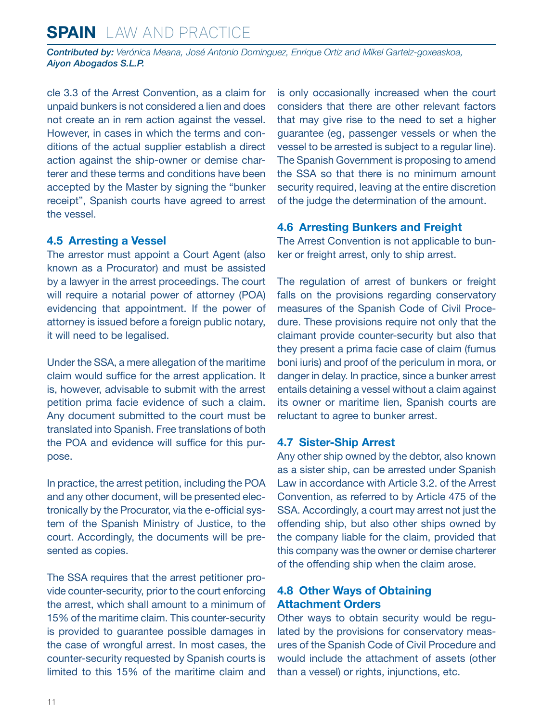<span id="page-10-0"></span>*Contributed by: Verónica Meana, José Antonio Dominguez, Enrique Ortiz and Mikel Garteiz-goxeaskoa, Aiyon Abogados S.L.P.* 

cle 3.3 of the Arrest Convention, as a claim for unpaid bunkers is not considered a lien and does not create an in rem action against the vessel. However, in cases in which the terms and conditions of the actual supplier establish a direct action against the ship-owner or demise charterer and these terms and conditions have been accepted by the Master by signing the "bunker receipt", Spanish courts have agreed to arrest the vessel.

#### **4.5 Arresting a Vessel**

The arrestor must appoint a Court Agent (also known as a Procurator) and must be assisted by a lawyer in the arrest proceedings. The court will require a notarial power of attorney (POA) evidencing that appointment. If the power of attorney is issued before a foreign public notary, it will need to be legalised.

Under the SSA, a mere allegation of the maritime claim would suffice for the arrest application. It is, however, advisable to submit with the arrest petition prima facie evidence of such a claim. Any document submitted to the court must be translated into Spanish. Free translations of both the POA and evidence will suffice for this purpose.

In practice, the arrest petition, including the POA and any other document, will be presented electronically by the Procurator, via the e-official system of the Spanish Ministry of Justice, to the court. Accordingly, the documents will be presented as copies.

The SSA requires that the arrest petitioner provide counter-security, prior to the court enforcing the arrest, which shall amount to a minimum of 15% of the maritime claim. This counter-security is provided to guarantee possible damages in the case of wrongful arrest. In most cases, the counter-security requested by Spanish courts is limited to this 15% of the maritime claim and is only occasionally increased when the court considers that there are other relevant factors that may give rise to the need to set a higher guarantee (eg, passenger vessels or when the vessel to be arrested is subject to a regular line). The Spanish Government is proposing to amend the SSA so that there is no minimum amount security required, leaving at the entire discretion of the judge the determination of the amount.

#### **4.6 Arresting Bunkers and Freight**

The Arrest Convention is not applicable to bunker or freight arrest, only to ship arrest.

The regulation of arrest of bunkers or freight falls on the provisions regarding conservatory measures of the Spanish Code of Civil Procedure. These provisions require not only that the claimant provide counter-security but also that they present a prima facie case of claim (fumus boni iuris) and proof of the periculum in mora, or danger in delay. In practice, since a bunker arrest entails detaining a vessel without a claim against its owner or maritime lien, Spanish courts are reluctant to agree to bunker arrest.

#### **4.7 Sister-Ship Arrest**

Any other ship owned by the debtor, also known as a sister ship, can be arrested under Spanish Law in accordance with Article 3.2. of the Arrest Convention, as referred to by Article 475 of the SSA. Accordingly, a court may arrest not just the offending ship, but also other ships owned by the company liable for the claim, provided that this company was the owner or demise charterer of the offending ship when the claim arose.

#### **4.8 Other Ways of Obtaining Attachment Orders**

Other ways to obtain security would be regulated by the provisions for conservatory measures of the Spanish Code of Civil Procedure and would include the attachment of assets (other than a vessel) or rights, injunctions, etc.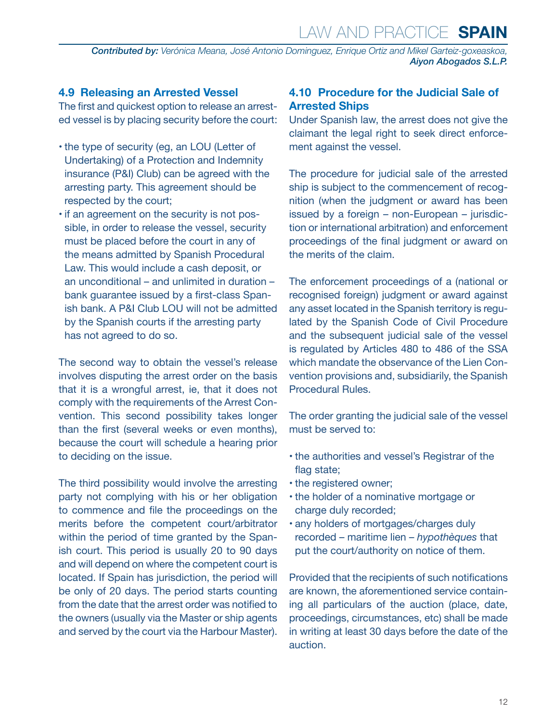<span id="page-11-0"></span>*Contributed by: Verónica Meana, José Antonio Dominguez, Enrique Ortiz and Mikel Garteiz-goxeaskoa, Aiyon Abogados S.L.P.* 

#### **4.9 Releasing an Arrested Vessel**

The first and quickest option to release an arrested vessel is by placing security before the court:

- the type of security (eg, an LOU (Letter of Undertaking) of a Protection and Indemnity insurance (P&I) Club) can be agreed with the arresting party. This agreement should be respected by the court;
- if an agreement on the security is not possible, in order to release the vessel, security must be placed before the court in any of the means admitted by Spanish Procedural Law. This would include a cash deposit, or an unconditional – and unlimited in duration – bank guarantee issued by a first-class Spanish bank. A P&I Club LOU will not be admitted by the Spanish courts if the arresting party has not agreed to do so.

The second way to obtain the vessel's release involves disputing the arrest order on the basis that it is a wrongful arrest, ie, that it does not comply with the requirements of the Arrest Convention. This second possibility takes longer than the first (several weeks or even months), because the court will schedule a hearing prior to deciding on the issue.

The third possibility would involve the arresting party not complying with his or her obligation to commence and file the proceedings on the merits before the competent court/arbitrator within the period of time granted by the Spanish court. This period is usually 20 to 90 days and will depend on where the competent court is located. If Spain has jurisdiction, the period will be only of 20 days. The period starts counting from the date that the arrest order was notified to the owners (usually via the Master or ship agents and served by the court via the Harbour Master).

#### **4.10 Procedure for the Judicial Sale of Arrested Ships**

Under Spanish law, the arrest does not give the claimant the legal right to seek direct enforcement against the vessel.

The procedure for judicial sale of the arrested ship is subject to the commencement of recognition (when the judgment or award has been issued by a foreign – non-European – jurisdiction or international arbitration) and enforcement proceedings of the final judgment or award on the merits of the claim.

The enforcement proceedings of a (national or recognised foreign) judgment or award against any asset located in the Spanish territory is regulated by the Spanish Code of Civil Procedure and the subsequent judicial sale of the vessel is regulated by Articles 480 to 486 of the SSA which mandate the observance of the Lien Convention provisions and, subsidiarily, the Spanish Procedural Rules.

The order granting the judicial sale of the vessel must be served to:

- the authorities and vessel's Registrar of the flag state;
- the registered owner;
- the holder of a nominative mortgage or charge duly recorded;
- any holders of mortgages/charges duly recorded – maritime lien – *hypothèques* that put the court/authority on notice of them.

Provided that the recipients of such notifications are known, the aforementioned service containing all particulars of the auction (place, date, proceedings, circumstances, etc) shall be made in writing at least 30 days before the date of the auction.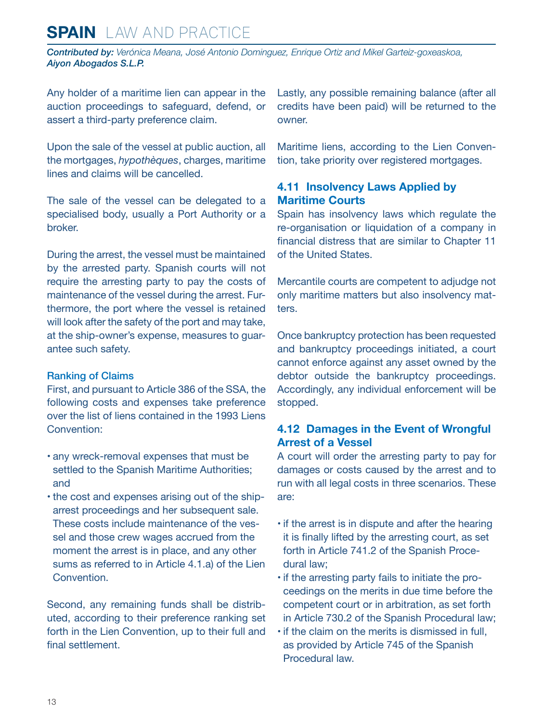<span id="page-12-0"></span>*Contributed by: Verónica Meana, José Antonio Dominguez, Enrique Ortiz and Mikel Garteiz-goxeaskoa, Aiyon Abogados S.L.P.* 

Any holder of a maritime lien can appear in the auction proceedings to safeguard, defend, or assert a third-party preference claim.

Upon the sale of the vessel at public auction, all the mortgages, *hypothèques*, charges, maritime lines and claims will be cancelled.

The sale of the vessel can be delegated to a specialised body, usually a Port Authority or a broker.

During the arrest, the vessel must be maintained by the arrested party. Spanish courts will not require the arresting party to pay the costs of maintenance of the vessel during the arrest. Furthermore, the port where the vessel is retained will look after the safety of the port and may take, at the ship-owner's expense, measures to guarantee such safety.

#### Ranking of Claims

First, and pursuant to Article 386 of the SSA, the following costs and expenses take preference over the list of liens contained in the 1993 Liens Convention:

- any wreck-removal expenses that must be settled to the Spanish Maritime Authorities; and
- the cost and expenses arising out of the shiparrest proceedings and her subsequent sale. These costs include maintenance of the vessel and those crew wages accrued from the moment the arrest is in place, and any other sums as referred to in Article 4.1.a) of the Lien Convention.

Second, any remaining funds shall be distributed, according to their preference ranking set forth in the Lien Convention, up to their full and final settlement.

Lastly, any possible remaining balance (after all credits have been paid) will be returned to the owner.

Maritime liens, according to the Lien Convention, take priority over registered mortgages.

#### **4.11 Insolvency Laws Applied by Maritime Courts**

Spain has insolvency laws which regulate the re-organisation or liquidation of a company in financial distress that are similar to Chapter 11 of the United States.

Mercantile courts are competent to adjudge not only maritime matters but also insolvency matters.

Once bankruptcy protection has been requested and bankruptcy proceedings initiated, a court cannot enforce against any asset owned by the debtor outside the bankruptcy proceedings. Accordingly, any individual enforcement will be stopped.

#### **4.12 Damages in the Event of Wrongful Arrest of a Vessel**

A court will order the arresting party to pay for damages or costs caused by the arrest and to run with all legal costs in three scenarios. These are:

- if the arrest is in dispute and after the hearing it is finally lifted by the arresting court, as set forth in Article 741.2 of the Spanish Procedural law;
- if the arresting party fails to initiate the proceedings on the merits in due time before the competent court or in arbitration, as set forth in Article 730.2 of the Spanish Procedural law;
- if the claim on the merits is dismissed in full, as provided by Article 745 of the Spanish Procedural law.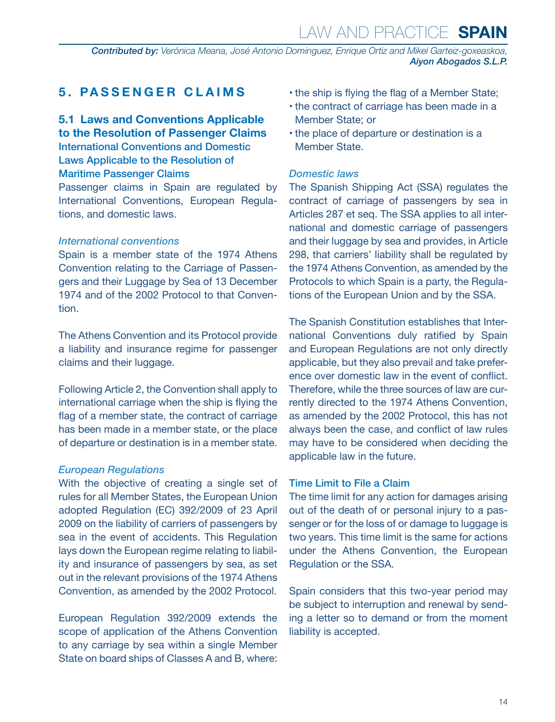<span id="page-13-0"></span>*Contributed by: Verónica Meana, José Antonio Dominguez, Enrique Ortiz and Mikel Garteiz-goxeaskoa, Aiyon Abogados S.L.P.* 

#### **5. PASSENGER CLAIMS**

#### **5.1 Laws and Conventions Applicable to the Resolution of Passenger Claims** International Conventions and Domestic Laws Applicable to the Resolution of

#### Maritime Passenger Claims

Passenger claims in Spain are regulated by International Conventions, European Regulations, and domestic laws.

#### *International conventions*

Spain is a member state of the 1974 Athens Convention relating to the Carriage of Passengers and their Luggage by Sea of 13 December 1974 and of the 2002 Protocol to that Convention.

The Athens Convention and its Protocol provide a liability and insurance regime for passenger claims and their luggage.

Following Article 2, the Convention shall apply to international carriage when the ship is flying the flag of a member state, the contract of carriage has been made in a member state, or the place of departure or destination is in a member state.

#### *European Regulations*

With the objective of creating a single set of rules for all Member States, the European Union adopted Regulation (EC) 392/2009 of 23 April 2009 on the liability of carriers of passengers by sea in the event of accidents. This Regulation lays down the European regime relating to liability and insurance of passengers by sea, as set out in the relevant provisions of the 1974 Athens Convention, as amended by the 2002 Protocol.

European Regulation 392/2009 extends the scope of application of the Athens Convention to any carriage by sea within a single Member State on board ships of Classes A and B, where:

- the ship is flying the flag of a Member State;
- the contract of carriage has been made in a Member State; or
- the place of departure or destination is a Member State.

#### *Domestic laws*

The Spanish Shipping Act (SSA) regulates the contract of carriage of passengers by sea in Articles 287 et seq. The SSA applies to all international and domestic carriage of passengers and their luggage by sea and provides, in Article 298, that carriers' liability shall be regulated by the 1974 Athens Convention, as amended by the Protocols to which Spain is a party, the Regulations of the European Union and by the SSA.

The Spanish Constitution establishes that International Conventions duly ratified by Spain and European Regulations are not only directly applicable, but they also prevail and take preference over domestic law in the event of conflict. Therefore, while the three sources of law are currently directed to the 1974 Athens Convention, as amended by the 2002 Protocol, this has not always been the case, and conflict of law rules may have to be considered when deciding the applicable law in the future.

#### Time Limit to File a Claim

The time limit for any action for damages arising out of the death of or personal injury to a passenger or for the loss of or damage to luggage is two years. This time limit is the same for actions under the Athens Convention, the European Regulation or the SSA.

Spain considers that this two-year period may be subject to interruption and renewal by sending a letter so to demand or from the moment liability is accepted.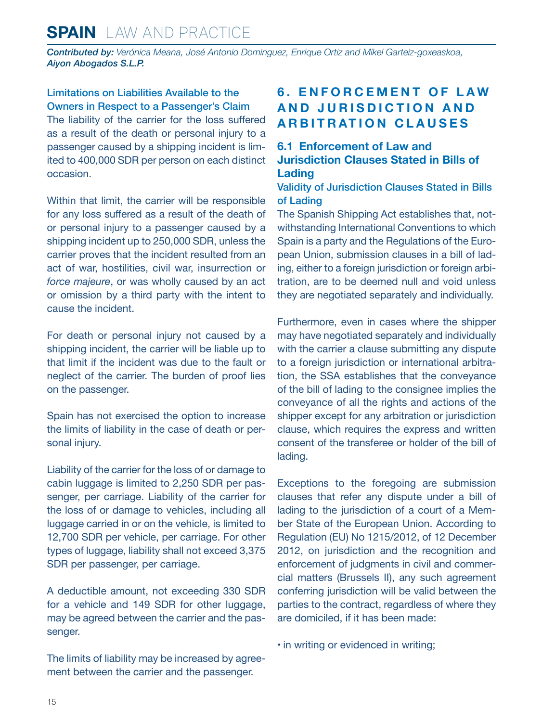<span id="page-14-0"></span>*Contributed by: Verónica Meana, José Antonio Dominguez, Enrique Ortiz and Mikel Garteiz-goxeaskoa, Aiyon Abogados S.L.P.* 

Limitations on Liabilities Available to the Owners in Respect to a Passenger's Claim The liability of the carrier for the loss suffered as a result of the death or personal injury to a passenger caused by a shipping incident is limited to 400,000 SDR per person on each distinct occasion.

Within that limit, the carrier will be responsible for any loss suffered as a result of the death of or personal injury to a passenger caused by a shipping incident up to 250,000 SDR, unless the carrier proves that the incident resulted from an act of war, hostilities, civil war, insurrection or *force majeure*, or was wholly caused by an act or omission by a third party with the intent to cause the incident.

For death or personal injury not caused by a shipping incident, the carrier will be liable up to that limit if the incident was due to the fault or neglect of the carrier. The burden of proof lies on the passenger.

Spain has not exercised the option to increase the limits of liability in the case of death or personal injury.

Liability of the carrier for the loss of or damage to cabin luggage is limited to 2,250 SDR per passenger, per carriage. Liability of the carrier for the loss of or damage to vehicles, including all luggage carried in or on the vehicle, is limited to 12,700 SDR per vehicle, per carriage. For other types of luggage, liability shall not exceed 3,375 SDR per passenger, per carriage.

A deductible amount, not exceeding 330 SDR for a vehicle and 149 SDR for other luggage, may be agreed between the carrier and the passenger.

The limits of liability may be increased by agreement between the carrier and the passenger.

#### **6 . E N F O R C E M E N T O F L A W A N D J U R I S D I C T I O N A N D ARBITRATION CLAUSES**

#### **6.1 Enforcement of Law and Jurisdiction Clauses Stated in Bills of Lading**

Validity of Jurisdiction Clauses Stated in Bills of Lading

The Spanish Shipping Act establishes that, notwithstanding International Conventions to which Spain is a party and the Regulations of the European Union, submission clauses in a bill of lading, either to a foreign jurisdiction or foreign arbitration, are to be deemed null and void unless they are negotiated separately and individually.

Furthermore, even in cases where the shipper may have negotiated separately and individually with the carrier a clause submitting any dispute to a foreign jurisdiction or international arbitration, the SSA establishes that the conveyance of the bill of lading to the consignee implies the conveyance of all the rights and actions of the shipper except for any arbitration or jurisdiction clause, which requires the express and written consent of the transferee or holder of the bill of lading.

Exceptions to the foregoing are submission clauses that refer any dispute under a bill of lading to the jurisdiction of a court of a Member State of the European Union. According to Regulation (EU) No 1215/2012, of 12 December 2012, on jurisdiction and the recognition and enforcement of judgments in civil and commercial matters (Brussels II), any such agreement conferring jurisdiction will be valid between the parties to the contract, regardless of where they are domiciled, if it has been made:

• in writing or evidenced in writing;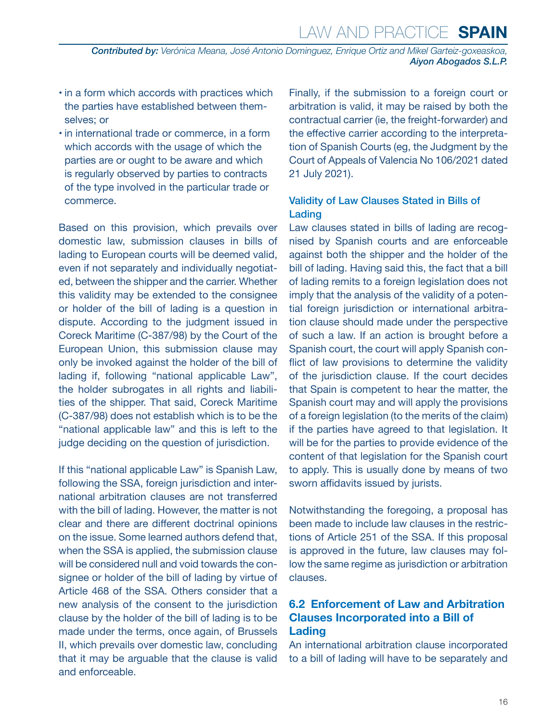<span id="page-15-0"></span>*Contributed by: Verónica Meana, José Antonio Dominguez, Enrique Ortiz and Mikel Garteiz-goxeaskoa, Aiyon Abogados S.L.P.* 

- in a form which accords with practices which the parties have established between themselves; or
- in international trade or commerce, in a form which accords with the usage of which the parties are or ought to be aware and which is regularly observed by parties to contracts of the type involved in the particular trade or commerce.

Based on this provision, which prevails over domestic law, submission clauses in bills of lading to European courts will be deemed valid, even if not separately and individually negotiated, between the shipper and the carrier. Whether this validity may be extended to the consignee or holder of the bill of lading is a question in dispute. According to the judgment issued in Coreck Maritime (C-387/98) by the Court of the European Union, this submission clause may only be invoked against the holder of the bill of lading if, following "national applicable Law", the holder subrogates in all rights and liabilities of the shipper. That said, Coreck Maritime (C-387/98) does not establish which is to be the "national applicable law" and this is left to the judge deciding on the question of jurisdiction.

If this "national applicable Law" is Spanish Law, following the SSA, foreign jurisdiction and international arbitration clauses are not transferred with the bill of lading. However, the matter is not clear and there are different doctrinal opinions on the issue. Some learned authors defend that, when the SSA is applied, the submission clause will be considered null and void towards the consignee or holder of the bill of lading by virtue of Article 468 of the SSA. Others consider that a new analysis of the consent to the jurisdiction clause by the holder of the bill of lading is to be made under the terms, once again, of Brussels II, which prevails over domestic law, concluding that it may be arguable that the clause is valid and enforceable.

Finally, if the submission to a foreign court or arbitration is valid, it may be raised by both the contractual carrier (ie, the freight-forwarder) and the effective carrier according to the interpretation of Spanish Courts (eg, the Judgment by the Court of Appeals of Valencia No 106/2021 dated 21 July 2021).

#### Validity of Law Clauses Stated in Bills of Lading

Law clauses stated in bills of lading are recognised by Spanish courts and are enforceable against both the shipper and the holder of the bill of lading. Having said this, the fact that a bill of lading remits to a foreign legislation does not imply that the analysis of the validity of a potential foreign jurisdiction or international arbitration clause should made under the perspective of such a law. If an action is brought before a Spanish court, the court will apply Spanish conflict of law provisions to determine the validity of the jurisdiction clause. If the court decides that Spain is competent to hear the matter, the Spanish court may and will apply the provisions of a foreign legislation (to the merits of the claim) if the parties have agreed to that legislation. It will be for the parties to provide evidence of the content of that legislation for the Spanish court to apply. This is usually done by means of two sworn affidavits issued by jurists.

Notwithstanding the foregoing, a proposal has been made to include law clauses in the restrictions of Article 251 of the SSA. If this proposal is approved in the future, law clauses may follow the same regime as jurisdiction or arbitration clauses.

#### **6.2 Enforcement of Law and Arbitration Clauses Incorporated into a Bill of Lading**

An international arbitration clause incorporated to a bill of lading will have to be separately and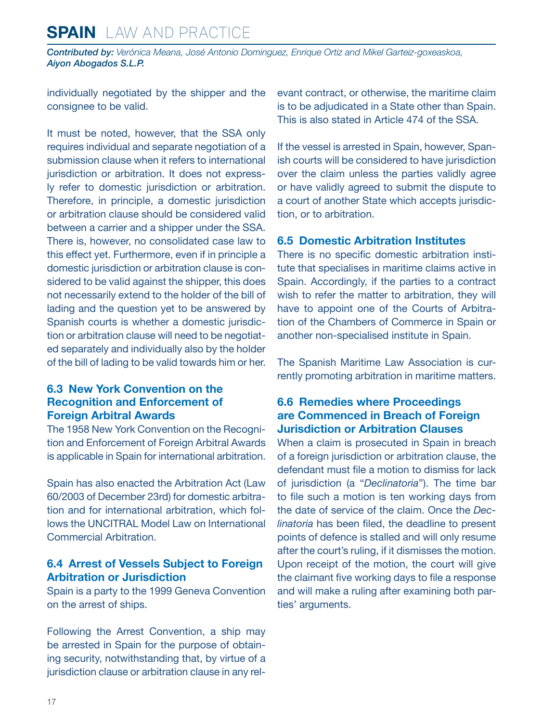<span id="page-16-0"></span>*Contributed by: Verónica Meana, José Antonio Dominguez, Enrique Ortiz and Mikel Garteiz-goxeaskoa, Aiyon Abogados S.L.P.* 

individually negotiated by the shipper and the consignee to be valid.

It must be noted, however, that the SSA only requires individual and separate negotiation of a submission clause when it refers to international jurisdiction or arbitration. It does not expressly refer to domestic jurisdiction or arbitration. Therefore, in principle, a domestic jurisdiction or arbitration clause should be considered valid between a carrier and a shipper under the SSA. There is, however, no consolidated case law to this effect yet. Furthermore, even if in principle a domestic jurisdiction or arbitration clause is considered to be valid against the shipper, this does not necessarily extend to the holder of the bill of lading and the question yet to be answered by Spanish courts is whether a domestic jurisdiction or arbitration clause will need to be negotiated separately and individually also by the holder of the bill of lading to be valid towards him or her.

#### **6.3 New York Convention on the Recognition and Enforcement of Foreign Arbitral Awards**

The 1958 New York Convention on the Recognition and Enforcement of Foreign Arbitral Awards is applicable in Spain for international arbitration.

Spain has also enacted the Arbitration Act (Law 60/2003 of December 23rd) for domestic arbitration and for international arbitration, which follows the UNCITRAL Model Law on International Commercial Arbitration.

#### **6.4 Arrest of Vessels Subject to Foreign Arbitration or Jurisdiction**

Spain is a party to the 1999 Geneva Convention on the arrest of ships.

Following the Arrest Convention, a ship may be arrested in Spain for the purpose of obtaining security, notwithstanding that, by virtue of a jurisdiction clause or arbitration clause in any relevant contract, or otherwise, the maritime claim is to be adjudicated in a State other than Spain. This is also stated in Article 474 of the SSA.

If the vessel is arrested in Spain, however, Spanish courts will be considered to have jurisdiction over the claim unless the parties validly agree or have validly agreed to submit the dispute to a court of another State which accepts jurisdiction, or to arbitration.

#### **6.5 Domestic Arbitration Institutes**

There is no specific domestic arbitration institute that specialises in maritime claims active in Spain. Accordingly, if the parties to a contract wish to refer the matter to arbitration, they will have to appoint one of the Courts of Arbitration of the Chambers of Commerce in Spain or another non-specialised institute in Spain.

The Spanish Maritime Law Association is currently promoting arbitration in maritime matters.

#### **6.6 Remedies where Proceedings are Commenced in Breach of Foreign Jurisdiction or Arbitration Clauses**

When a claim is prosecuted in Spain in breach of a foreign jurisdiction or arbitration clause, the defendant must file a motion to dismiss for lack of jurisdiction (a "*Declinatoria*"). The time bar to file such a motion is ten working days from the date of service of the claim. Once the *Declinatoria* has been filed, the deadline to present points of defence is stalled and will only resume after the court's ruling, if it dismisses the motion. Upon receipt of the motion, the court will give the claimant five working days to file a response and will make a ruling after examining both parties' arguments.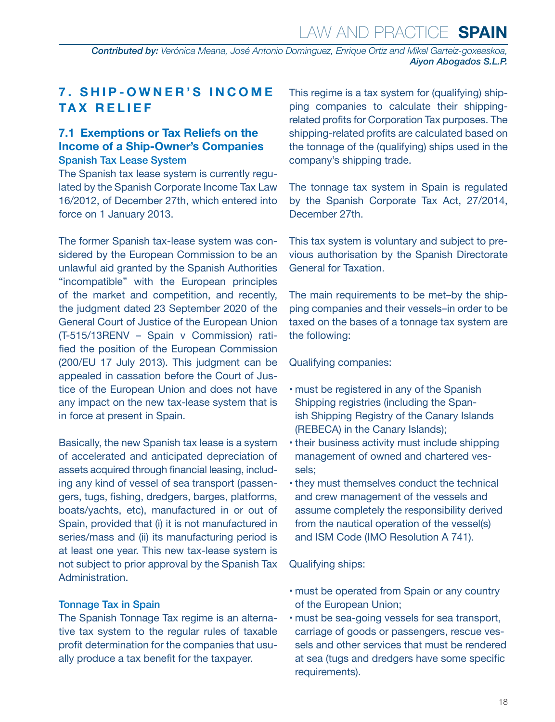<span id="page-17-0"></span>*Contributed by: Verónica Meana, José Antonio Dominguez, Enrique Ortiz and Mikel Garteiz-goxeaskoa, Aiyon Abogados S.L.P.* 

#### **7 . S H I P - O W N E R ' S I N C O M E TAX RELIEF**

#### **7.1 Exemptions or Tax Reliefs on the Income of a Ship-Owner's Companies** Spanish Tax Lease System

The Spanish tax lease system is currently regulated by the Spanish Corporate Income Tax Law 16/2012, of December 27th, which entered into force on 1 January 2013.

The former Spanish tax-lease system was considered by the European Commission to be an unlawful aid granted by the Spanish Authorities "incompatible" with the European principles of the market and competition, and recently, the judgment dated 23 September 2020 of the General Court of Justice of the European Union (T-515/13RENV – Spain v Commission) ratified the position of the European Commission (200/EU 17 July 2013). This judgment can be appealed in cassation before the Court of Justice of the European Union and does not have any impact on the new tax-lease system that is in force at present in Spain.

Basically, the new Spanish tax lease is a system of accelerated and anticipated depreciation of assets acquired through financial leasing, including any kind of vessel of sea transport (passengers, tugs, fishing, dredgers, barges, platforms, boats/yachts, etc), manufactured in or out of Spain, provided that (i) it is not manufactured in series/mass and (ii) its manufacturing period is at least one year. This new tax-lease system is not subject to prior approval by the Spanish Tax Administration.

#### Tonnage Tax in Spain

The Spanish Tonnage Tax regime is an alternative tax system to the regular rules of taxable profit determination for the companies that usually produce a tax benefit for the taxpayer.

This regime is a tax system for (qualifying) shipping companies to calculate their shippingrelated profits for Corporation Tax purposes. The shipping-related profits are calculated based on the tonnage of the (qualifying) ships used in the company's shipping trade.

The tonnage tax system in Spain is regulated by the Spanish Corporate Tax Act, 27/2014, December 27th.

This tax system is voluntary and subject to previous authorisation by the Spanish Directorate General for Taxation.

The main requirements to be met–by the shipping companies and their vessels–in order to be taxed on the bases of a tonnage tax system are the following:

#### Qualifying companies:

- must be registered in any of the Spanish Shipping registries (including the Spanish Shipping Registry of the Canary Islands (REBECA) in the Canary Islands);
- their business activity must include shipping management of owned and chartered vessels;
- they must themselves conduct the technical and crew management of the vessels and assume completely the responsibility derived from the nautical operation of the vessel(s) and ISM Code (IMO Resolution A 741).

#### Qualifying ships:

- must be operated from Spain or any country of the European Union;
- must be sea-going vessels for sea transport, carriage of goods or passengers, rescue vessels and other services that must be rendered at sea (tugs and dredgers have some specific requirements).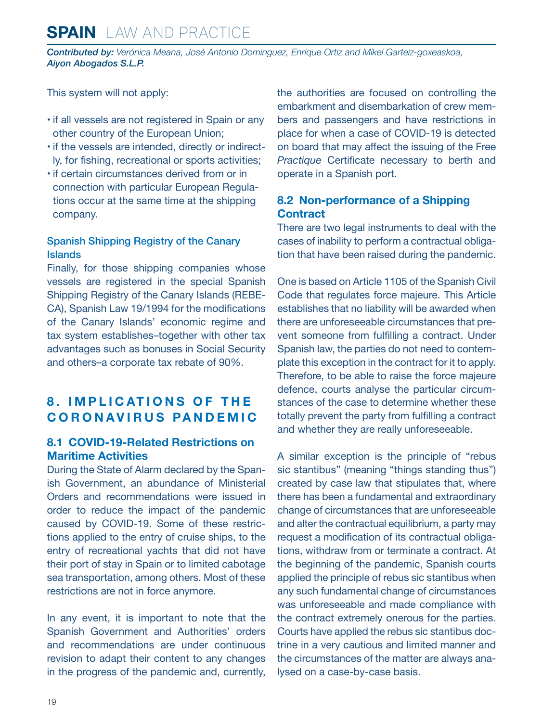<span id="page-18-0"></span>*Contributed by: Verónica Meana, José Antonio Dominguez, Enrique Ortiz and Mikel Garteiz-goxeaskoa, Aiyon Abogados S.L.P.* 

This system will not apply:

- if all vessels are not registered in Spain or any other country of the European Union;
- if the vessels are intended, directly or indirectly, for fishing, recreational or sports activities;
- if certain circumstances derived from or in connection with particular European Regulations occur at the same time at the shipping company.

#### Spanish Shipping Registry of the Canary Islands

Finally, for those shipping companies whose vessels are registered in the special Spanish Shipping Registry of the Canary Islands (REBE-CA), Spanish Law 19/1994 for the modifications of the Canary Islands' economic regime and tax system establishes–together with other tax advantages such as bonuses in Social Security and others–a corporate tax rebate of 90%.

#### **8. IMPLICATIONS OF THE CORONAVIRUS PANDEMIC**

#### **8.1 COVID-19-Related Restrictions on Maritime Activities**

During the State of Alarm declared by the Spanish Government, an abundance of Ministerial Orders and recommendations were issued in order to reduce the impact of the pandemic caused by COVID-19. Some of these restrictions applied to the entry of cruise ships, to the entry of recreational yachts that did not have their port of stay in Spain or to limited cabotage sea transportation, among others. Most of these restrictions are not in force anymore.

In any event, it is important to note that the Spanish Government and Authorities' orders and recommendations are under continuous revision to adapt their content to any changes in the progress of the pandemic and, currently, the authorities are focused on controlling the embarkment and disembarkation of crew members and passengers and have restrictions in place for when a case of COVID-19 is detected on board that may affect the issuing of the Free *Practique* Certificate necessary to berth and operate in a Spanish port.

#### **8.2 Non-performance of a Shipping Contract**

There are two legal instruments to deal with the cases of inability to perform a contractual obligation that have been raised during the pandemic.

One is based on Article 1105 of the Spanish Civil Code that regulates force majeure. This Article establishes that no liability will be awarded when there are unforeseeable circumstances that prevent someone from fulfilling a contract. Under Spanish law, the parties do not need to contemplate this exception in the contract for it to apply. Therefore, to be able to raise the force majeure defence, courts analyse the particular circumstances of the case to determine whether these totally prevent the party from fulfilling a contract and whether they are really unforeseeable.

A similar exception is the principle of "rebus sic stantibus" (meaning "things standing thus") created by case law that stipulates that, where there has been a fundamental and extraordinary change of circumstances that are unforeseeable and alter the contractual equilibrium, a party may request a modification of its contractual obligations, withdraw from or terminate a contract. At the beginning of the pandemic, Spanish courts applied the principle of rebus sic stantibus when any such fundamental change of circumstances was unforeseeable and made compliance with the contract extremely onerous for the parties. Courts have applied the rebus sic stantibus doctrine in a very cautious and limited manner and the circumstances of the matter are always analysed on a case-by-case basis.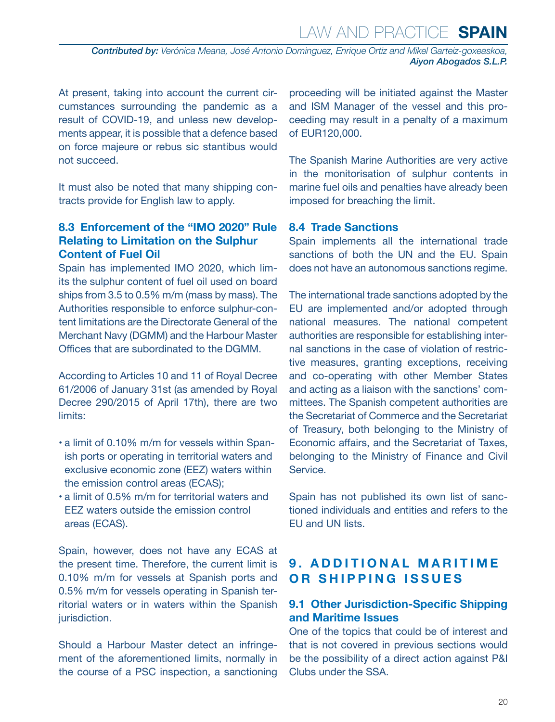<span id="page-19-0"></span>*Contributed by: Verónica Meana, José Antonio Dominguez, Enrique Ortiz and Mikel Garteiz-goxeaskoa, Aiyon Abogados S.L.P.* 

At present, taking into account the current circumstances surrounding the pandemic as a result of COVID-19, and unless new developments appear, it is possible that a defence based on force majeure or rebus sic stantibus would not succeed.

It must also be noted that many shipping contracts provide for English law to apply.

#### **8.3 Enforcement of the "IMO 2020" Rule Relating to Limitation on the Sulphur Content of Fuel Oil**

Spain has implemented IMO 2020, which limits the sulphur content of fuel oil used on board ships from 3.5 to 0.5% m/m (mass by mass). The Authorities responsible to enforce sulphur-content limitations are the Directorate General of the Merchant Navy (DGMM) and the Harbour Master Offices that are subordinated to the DGMM.

According to Articles 10 and 11 of Royal Decree 61/2006 of January 31st (as amended by Royal Decree 290/2015 of April 17th), there are two limits:

- a limit of 0.10% m/m for vessels within Spanish ports or operating in territorial waters and exclusive economic zone (EEZ) waters within the emission control areas (ECAS);
- a limit of 0.5% m/m for territorial waters and EEZ waters outside the emission control areas (ECAS).

Spain, however, does not have any ECAS at the present time. Therefore, the current limit is 0.10% m/m for vessels at Spanish ports and 0.5% m/m for vessels operating in Spanish territorial waters or in waters within the Spanish jurisdiction.

Should a Harbour Master detect an infringement of the aforementioned limits, normally in the course of a PSC inspection, a sanctioning proceeding will be initiated against the Master and ISM Manager of the vessel and this proceeding may result in a penalty of a maximum of EUR120,000.

The Spanish Marine Authorities are very active in the monitorisation of sulphur contents in marine fuel oils and penalties have already been imposed for breaching the limit.

#### **8.4 Trade Sanctions**

Spain implements all the international trade sanctions of both the UN and the EU. Spain does not have an autonomous sanctions regime.

The international trade sanctions adopted by the EU are implemented and/or adopted through national measures. The national competent authorities are responsible for establishing internal sanctions in the case of violation of restrictive measures, granting exceptions, receiving and co-operating with other Member States and acting as a liaison with the sanctions' committees. The Spanish competent authorities are the Secretariat of Commerce and the Secretariat of Treasury, both belonging to the Ministry of Economic affairs, and the Secretariat of Taxes, belonging to the Ministry of Finance and Civil Service.

Spain has not published its own list of sanctioned individuals and entities and refers to the EU and UN lists.

#### **9. ADDITIONAL MARITIME OR SHIPPING ISSUES**

#### **9.1 Other Jurisdiction-Specific Shipping and Maritime Issues**

One of the topics that could be of interest and that is not covered in previous sections would be the possibility of a direct action against P&I Clubs under the SSA.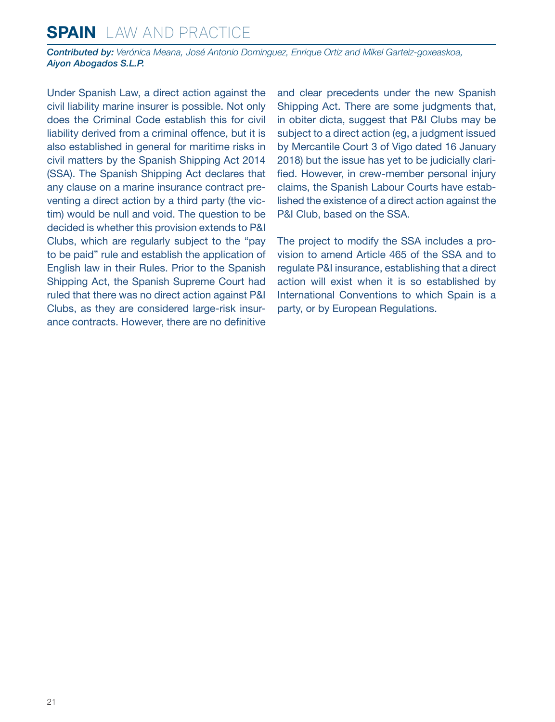*Contributed by: Verónica Meana, José Antonio Dominguez, Enrique Ortiz and Mikel Garteiz-goxeaskoa, Aiyon Abogados S.L.P.* 

Under Spanish Law, a direct action against the civil liability marine insurer is possible. Not only does the Criminal Code establish this for civil liability derived from a criminal offence, but it is also established in general for maritime risks in civil matters by the Spanish Shipping Act 2014 (SSA). The Spanish Shipping Act declares that any clause on a marine insurance contract preventing a direct action by a third party (the victim) would be null and void. The question to be decided is whether this provision extends to P&I Clubs, which are regularly subject to the "pay to be paid" rule and establish the application of English law in their Rules. Prior to the Spanish Shipping Act, the Spanish Supreme Court had ruled that there was no direct action against P&I Clubs, as they are considered large-risk insurance contracts. However, there are no definitive and clear precedents under the new Spanish Shipping Act. There are some judgments that, in obiter dicta, suggest that P&I Clubs may be subject to a direct action (eg, a judgment issued by Mercantile Court 3 of Vigo dated 16 January 2018) but the issue has yet to be judicially clarified. However, in crew-member personal injury claims, the Spanish Labour Courts have established the existence of a direct action against the P&I Club, based on the SSA.

The project to modify the SSA includes a provision to amend Article 465 of the SSA and to regulate P&I insurance, establishing that a direct action will exist when it is so established by International Conventions to which Spain is a party, or by European Regulations.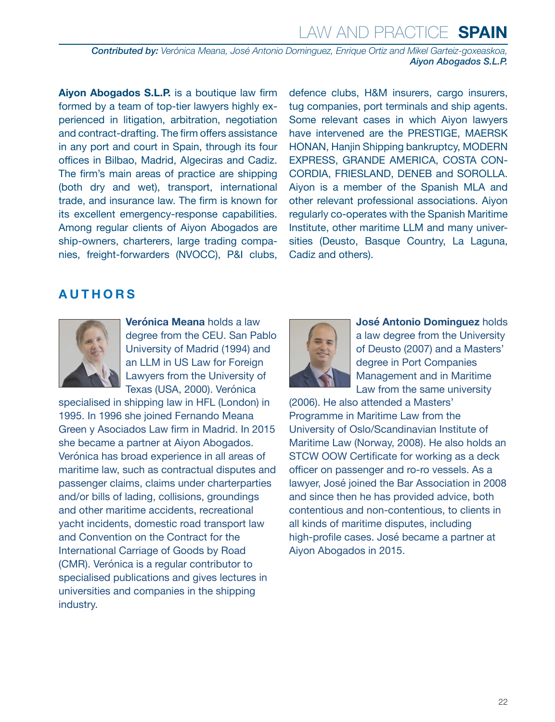*Contributed by: Verónica Meana, José Antonio Dominguez, Enrique Ortiz and Mikel Garteiz-goxeaskoa, Aiyon Abogados S.L.P.* 

**Aiyon Abogados S.L.P.** is a boutique law firm formed by a team of top-tier lawyers highly experienced in litigation, arbitration, negotiation and contract-drafting. The firm offers assistance in any port and court in Spain, through its four offices in Bilbao, Madrid, Algeciras and Cadiz. The firm's main areas of practice are shipping (both dry and wet), transport, international trade, and insurance law. The firm is known for its excellent emergency-response capabilities. Among regular clients of Aiyon Abogados are ship-owners, charterers, large trading companies, freight-forwarders (NVOCC), P&I clubs,

defence clubs, H&M insurers, cargo insurers, tug companies, port terminals and ship agents. Some relevant cases in which Aiyon lawyers have intervened are the PRESTIGE, MAERSK HONAN, Hanjin Shipping bankruptcy, MODERN EXPRESS, GRANDE AMERICA, COSTA CON-CORDIA, FRIESLAND, DENEB and SOROLLA. Aiyon is a member of the Spanish MLA and other relevant professional associations. Aiyon regularly co-operates with the Spanish Maritime Institute, other maritime LLM and many universities (Deusto, Basque Country, La Laguna, Cadiz and others).

#### <span id="page-21-0"></span>**AUTHORS**



**Verónica Meana** holds a law degree from the CEU. San Pablo University of Madrid (1994) and an LLM in US Law for Foreign Lawyers from the University of Texas (USA, 2000). Verónica

specialised in shipping law in HFL (London) in 1995. In 1996 she joined Fernando Meana Green y Asociados Law firm in Madrid. In 2015 she became a partner at Aiyon Abogados. Verónica has broad experience in all areas of maritime law, such as contractual disputes and passenger claims, claims under charterparties and/or bills of lading, collisions, groundings and other maritime accidents, recreational yacht incidents, domestic road transport law and Convention on the Contract for the International Carriage of Goods by Road (CMR). Verónica is a regular contributor to specialised publications and gives lectures in universities and companies in the shipping industry.



**José Antonio Dominguez** holds a law degree from the University of Deusto (2007) and a Masters' degree in Port Companies Management and in Maritime Law from the same university

(2006). He also attended a Masters' Programme in Maritime Law from the University of Oslo/Scandinavian Institute of Maritime Law (Norway, 2008). He also holds an STCW OOW Certificate for working as a deck officer on passenger and ro-ro vessels. As a lawyer, José joined the Bar Association in 2008 and since then he has provided advice, both contentious and non-contentious, to clients in all kinds of maritime disputes, including high-profile cases. José became a partner at Aiyon Abogados in 2015.